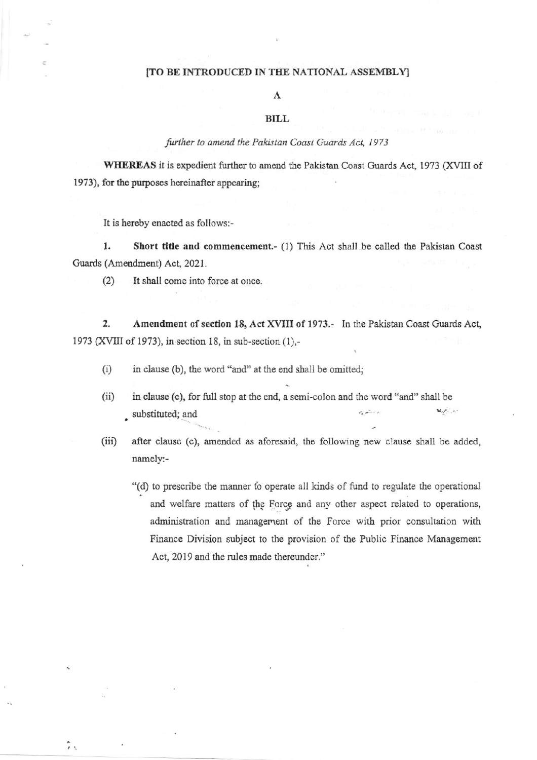#### [TO BE INTRODUCED IN THE NATIONAL ASSEMBLY]

### A

#### **BILL**

#### further to amend the Pakistan Coast Guards Act, 1973

WHEREAS it is expedient further to amend the Pakistan Coast Guards Act, 1973 (XVIII of 1973), for the purposes hereinafter appearing;

It is hereby enacted as follows:-

1. Short title and commencement.- (1) This Act shall be called the Pakistan Coast Guards (Amendment) Act, 2021.

It shall come into force at once.  $(2)$ 

2. Amendment of section 18, Act XVIII of 1973.- In the Pakistan Coast Guards Act, 1973 (XVIII of 1973), in section 18, in sub-section (1),-

- $(i)$ in clause (b), the word "and" at the end shall be omitted;
- in clause (c), for full stop at the end, a semi-colon and the word "and" shall be  $(ii)$ البرائيمية substituted; and
- $(iii)$ after clause (c), amended as aforesaid, the following new clause shall be added, namely:-
	- "(d) to prescribe the manner to operate all kinds of fund to regulate the operational and welfare matters of the Force and any other aspect related to operations, administration and management of the Force with prior consultation with Finance Division subject to the provision of the Public Finance Management Act, 2019 and the rules made thereunder."

たし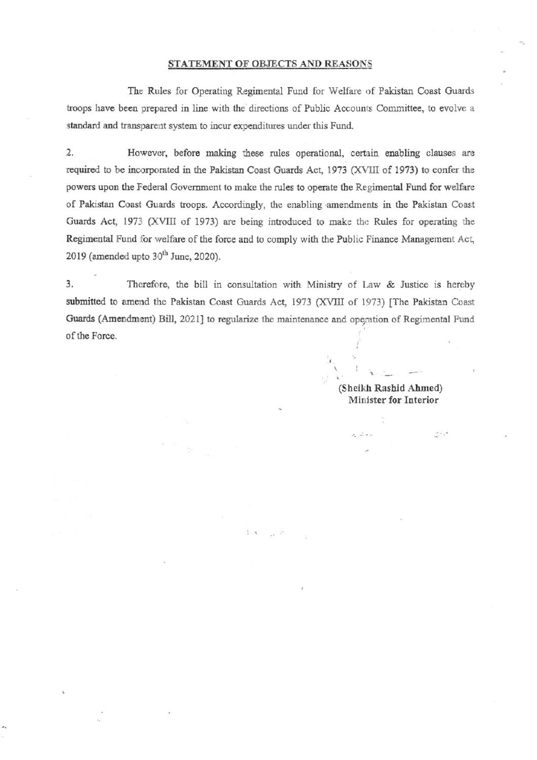#### STATEMENT OF OBJECTS AND REASONS

The Rules for Operating Regimental Fund for Welfare of Pakistan Coast Guards troops have been prepared in line with the directions of Public Accounts Committee, to evolve a standard and transparent system to incur expenditures under this Fund.

 $\overline{2}$ . However, before making these rules operational, certain enabling clauses are required to be incorporated in the Pakistan Coast Guards Act, 1973 (XVIII of 1973) to confer the powers upon the Federal Government to make the rules to operate the Regimental Fund for welfare of Pakistan Coast Guards troops. Accordingly, the enabling amendments in the Pakistan Coast Guards Act, 1973 (XVIII of 1973) are being introduced to make the Rules for operating the Regimental Fund for welfare of the force and to comply with the Public Finance Management Act, 2019 (amended upto 30<sup>th</sup> June, 2020).

3. Therefore, the bill in consultation with Ministry of Law & Justice is hereby submitted to amend the Pakistan Coast Guards Act, 1973 (XVIII of 1973) [The Pakistan Coast Guards (Amendment) Bill, 2021] to regularize the maintenance and operation of Regimental Fund of the Force.

> (Sheikh Rashid Ahmed) Minister for Interior

> > $\cdot$  ,  $\cdot$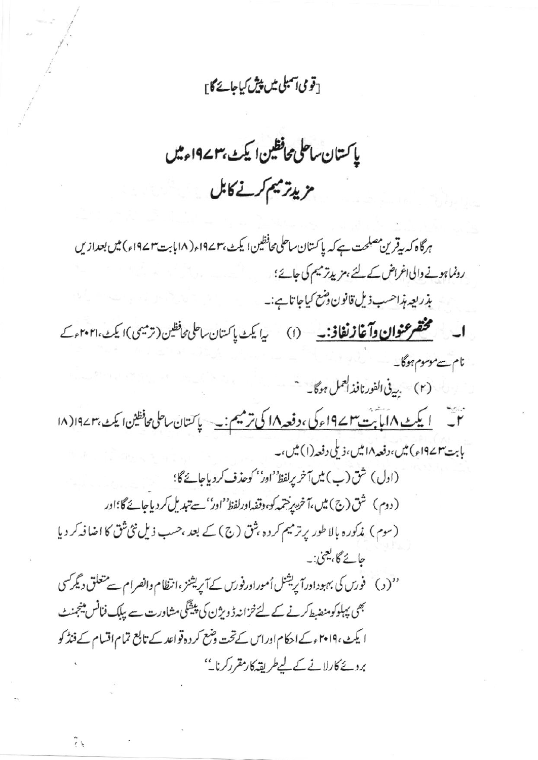## [قومی آمبلی میں پیش کیاجائے گا <sub>آ</sub>

ياكتان ساحلى محافظين اليكث بهم ١٩٧ء ثيل مزيدتر ميم كرنے كابل

ہرگاہ کہ بیقرین مصلحت ہے کہ پاکستان ساحلی محافظین ایکٹ،۱۹۷۳ء(۱۸بابت۳۱۹۷۲ء) میں بعدازیں رونماہونے والی اغراض کے لئے ، مزیدتر میم کی جائے؛ بذريعه مذاحسب ذيل قانون دشع كياجا تاہے:۔ اب مستحقق عنوان وآغاز نفاذ: (١) بدايك باكستان ساعلى محافظين (ترميمي) إيك ٢٠٢٠٢٠ مركبة نام سے موسوم ہوگا۔ (۲) بي في الفورنافذ العمل ہوگا۔ حت <u>لا يكث ١٨ مايا بت ١٩٧٣ء كى ، دفعه ١٨ كى ترميم : به</u> سياس التان ساحلى محافظين اليكث بهم ١٨) (١٨ بابت۳ستام (وام) میں،دفعہ ۱۸ میں،ذیلی دفعہ (۱) میں،۔ (اول) شق (ب) ميں آخر يرلفظ' اور'' كوحذف كردياجائے گا؛ (دوم) شق(ج) میں،آخریں جمہ کو، دقفہ اورلفظ' اور' سے تبدیل کر دیاجائے گا؛اور (سوم) مذکورہ بالاطور پرترمیم کردہ بثق (ج) کے بعد ،حسب ذیل نئی ثق کا اضافہ کر دیا جا ئے گا، یعنی: \_ ''( د ) فورس کی بہبوداورا پریشنل اُموراورفورس کے آپریشنز ،انتظام وانصرام سے متعلق دیگر کسی بھی پہلوکومنصبط کرنے کے لئے خزانہ ڈویژن کی پیشگی مشاورت سے پبلک فنانس مینجنٹ ا یکٹ ،۲۰۱۹ء کے احکام اوراس کے تحت دشع کر دہ قواعد کے تابع تمام اقسام کے فنڈ کو بردئے کارلانے کے لیےطریقہ کارمقرر کرنا۔''

 $\tilde{r}$